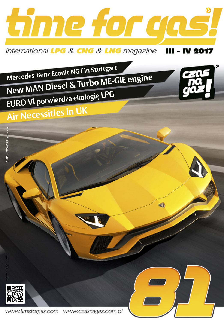

International LPG & CNG & LNG magazine III - IV 2017

Mercedes-Benz Econic NGT in Stuttgart New MAN Diesel & Turbo ME-GIE engine EURO VI potwierdza ekologię LPG **Air Necessities in UK** 



www.timeforgas.com www.czasnagaz.com.pl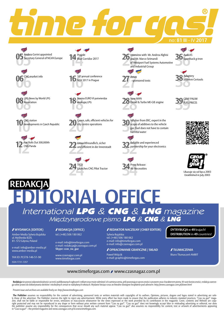

**05** Secretary General of NGVA Europe



**08** Associa **08** LPG News by World LPG Association

**10** developments in Czech Republic **10** CNG station



**14** Blue Co Blue Corridor 2017

**16** 10th annual conference<br> **16** NGV 2017 in Prague NGV 2017 in Prague

**18** ekologię LPG **18** Norma EURO VI potwierdza

**20** city centre operations **20** Green, safe, efficient vehicles for

Plat Rolls Out 300,000th<br> **22 Umweltfreundlich**, sicher<br>
und effizient in der Innenstadt<br> **22** Partnership for your elect<br>
and experienced<br>  $\frac{1}{2}$ Umweltfreundlich, sicher und effizient in der Innenstadt

**24 ICO**<br>**24 Launches CNG Pilot Tractor**<br>**34** Air Necessities TICO Launches CNG Pilot Tractor

**26 36 <sup>26</sup> <sup>36</sup>** Interview with Mr. Andrea Alghisi **D** and Mr. Marco Seimandi of Westport Fuel Systems Automotive and Industrial Group

**06 38** Adaptery<br>**16 10**<sup>th</sup> annual conference<br>**27 Adaptery**<br>**38** *x* filtrem of the sponsored texts<br>**38** *x* filtrem of the sponsored texts **27** - spor **27** Amax - sponsored texts

> **28** Diesel & Turbo ME-GIE engine **28** New MAN

**30**<br>scope of additives to the vehicle<br>gas: Fuel does not have to contain **30** MPulser from ERC, expert in the gas: Fuel does not have to contain harmful water

partnership for your electronics

Air Necessities





**39** FUEL PRICES FUEL PRICES





Ukazuje się od lipca 2003 Established in July 2003

# **REDAKCJA EDITORIAL OFFICE**<br>International LPG & CNG & LNG magazine Międzynarodowe pismo LPG & CNG & LNG

#### **WYDAWCA (EDITOR)**

Amber Media Sylwia Bujalska ul. Myśliwska 8/20, 81- 572 Gdynia, Poland

e-mail: info@amber-media.pl www.amber-media.pl

TAX ID: PL578-146-51-90

ISSN 1731-1357

### **REDAKCJA (OFFICE)**

tel. (+48) 506 180 062

e-mail: info@timeforgas.com e-mail: redakcja@czasnagaz.com.pl **Skype: czas\_na\_gaz** 

www.czasnagaz.com.pl www.timeforgas.com

### **REDAKTOR NACZELNY (CHIEF EDITOR)**

Sylwia Bujalska tel. (+48) 506 180 062 e-mail: info@timeforgas.com e-mail: info@czasnagaz.com.pl

#### **OPRACOWANIE GRAFICZNE / SKŁAD**

Paweł Wójcik e-mail: graphic@timeforgas.com **DYTRYBUCJA** w **49** krajach! **DISTRIBUTION** in **49** countries!

### **TŁUMACZENIA**

Biuro Tłumaczeń AMBIT

### www.timeforgas.com / www.czasnagaz.com.pl

-**Redakcja** nie ponosi odpowiedzialności za treść publikowanych ogłoszeń i reklam oraz może odmówić ich zamieszczenia, jeśli pozostają w sprzeczności z prawem oraz charakterem pisma. W razie konieczności, redakcja zastrze-

Present issue and archives are available freely on: http://www.timeforgas.com

The Publisher assumes no responsibility for the content of advertising, sponsored texts or written materials with copyrights of its authors. Opinions, pictures, slogans and logos stated in advertising are solely those of the advertiser. The Publisher reserves the right to reject any advertisement. While every effort has been made to ensure that the publication adheres to industry standard practices, "Czas na gaz!" maga-<br>zine, s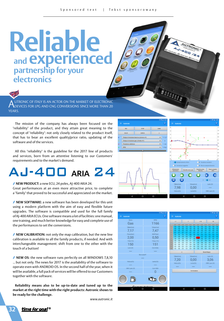# **Reliable and experienced partnership for your electronics**

**A**UTRONIC OF ITALY IS AN ACTOR ON THE MARKET OF ELECTRONIC<br>DEVICES FOR LPG AND CNG CONVERSIONS SINCE MORE THAN 20<br>WEARS YEARS.

The mission of the company has always been focused on the "reliability" of the product, and they attain great meaning to the concept of "reliability": not only closely related to the product itself, that has to bear an excellent quality/price ratio, updating of the software and of the services.

All this "reliability" is the guideline for the 2017 line of products and services, born from an attentive listening to our Customers' requirements and to the market's demand.

# ARIA  $24$

 **NEW PRODUCT:** a new ECU, 24 poles, AJ-400 ARIA 24. Great performances at an even more attractive price, to complete a "family" that proved to be successful and appreciated on the market.

 **NEW SOFTWARE:** a new software has been developed for this unit using a modern platform with the aim of easy and flexible future upgrades. The software is compatible and used for the full family of AJ-400 ARIA ECUs. One software means a lot of facilities: one manual, one training, and much better knowledge for easy and complete use of the performances to set the conversions.

 **NEW CALIBRATION:** not only the map calibration, but the new line calibration is available to all the family products, if needed. And with interchangeable management: shift from one to the other with the touch of a button!

**NEW OS:** the new software runs perfectly on all WINDOWS 7,8,10 ... but not only. The news for 2017 is the availability of the software to operate even with ANDROID OS. In the second half of the year, when it will be available, a full pack of services will be offered to our Customers together with the software.

**Reliability means also to be up-to-date and tuned up to the market at the right time with the right products: Autronic shows to be ready for the challenge.**

*www.autronic.it*





<u>time for gos! (</u>

**32**